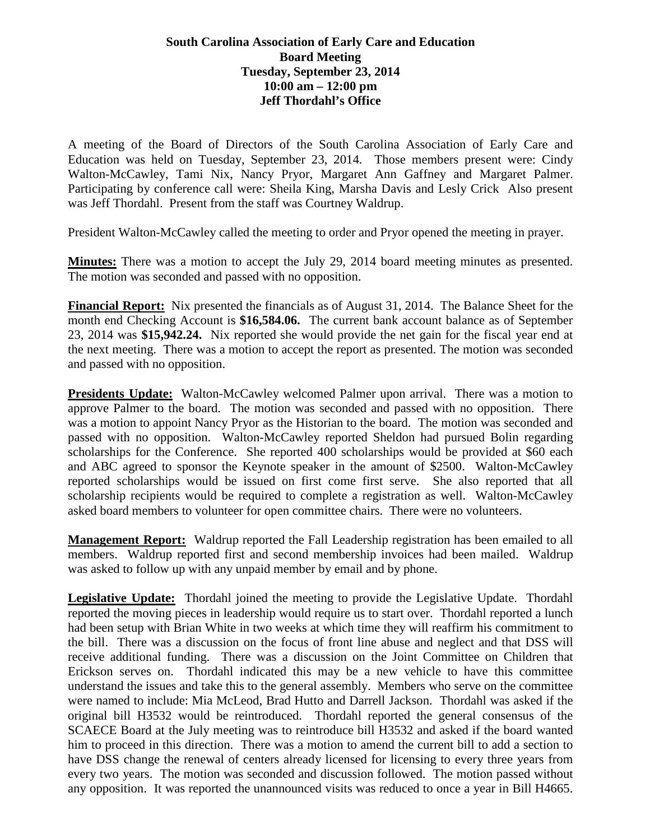## **South Carolina Association of Early Care and Education Board Meeting Tuesday, September 23, 2014 10:00 am – 12:00 pm Jeff Thordahl's Office**

A meeting of the Board of Directors of the South Carolina Association of Early Care and Education was held on Tuesday, September 23, 2014. Those members present were: Cindy Walton-McCawley, Tami Nix, Nancy Pryor, Margaret Ann Gaffney and Margaret Palmer. Participating by conference call were: Sheila King, Marsha Davis and Lesly Crick Also present was Jeff Thordahl. Present from the staff was Courtney Waldrup.

President Walton-McCawley called the meeting to order and Pryor opened the meeting in prayer.

**Minutes:** There was a motion to accept the July 29, 2014 board meeting minutes as presented. The motion was seconded and passed with no opposition.

**Financial Report:** Nix presented the financials as of August 31, 2014. The Balance Sheet for the month end Checking Account is **\$16,584.06.** The current bank account balance as of September 23, 2014 was **\$15,942.24.** Nix reported she would provide the net gain for the fiscal year end at the next meeting. There was a motion to accept the report as presented. The motion was seconded and passed with no opposition.

**Presidents Update:** Walton-McCawley welcomed Palmer upon arrival. There was a motion to approve Palmer to the board. The motion was seconded and passed with no opposition. There was a motion to appoint Nancy Pryor as the Historian to the board. The motion was seconded and passed with no opposition. Walton-McCawley reported Sheldon had pursued Bolin regarding scholarships for the Conference. She reported 400 scholarships would be provided at \$60 each and ABC agreed to sponsor the Keynote speaker in the amount of \$2500. Walton-McCawley reported scholarships would be issued on first come first serve. She also reported that all scholarship recipients would be required to complete a registration as well. Walton-McCawley asked board members to volunteer for open committee chairs. There were no volunteers.

**Management Report:** Waldrup reported the Fall Leadership registration has been emailed to all members. Waldrup reported first and second membership invoices had been mailed. Waldrup was asked to follow up with any unpaid member by email and by phone.

**Legislative Update:** Thordahl joined the meeting to provide the Legislative Update. Thordahl reported the moving pieces in leadership would require us to start over. Thordahl reported a lunch had been setup with Brian White in two weeks at which time they will reaffirm his commitment to the bill. There was a discussion on the focus of front line abuse and neglect and that DSS will receive additional funding. There was a discussion on the Joint Committee on Children that Erickson serves on. Thordahl indicated this may be a new vehicle to have this committee understand the issues and take this to the general assembly. Members who serve on the committee were named to include: Mia McLeod, Brad Hutto and Darrell Jackson. Thordahl was asked if the original bill H3532 would be reintroduced. Thordahl reported the general consensus of the SCAECE Board at the July meeting was to reintroduce bill H3532 and asked if the board wanted him to proceed in this direction. There was a motion to amend the current bill to add a section to have DSS change the renewal of centers already licensed for licensing to every three years from every two years. The motion was seconded and discussion followed. The motion passed without any opposition. It was reported the unannounced visits was reduced to once a year in Bill H4665.